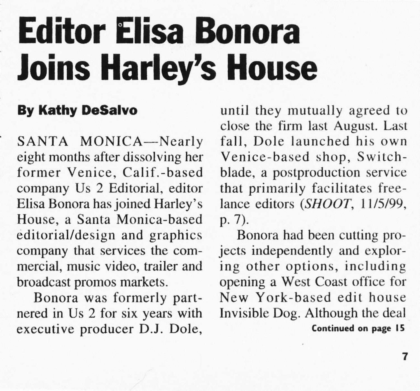## **Joins Harley's House** Editor Elisa Bonora

## By Kathy DeSalvo

SANTA MONICA-Nearly eight months after dissolving her former Venice. Calif.-based company Us 2 Editorial, editor Elisa Bonora has joined Harley's House, a Santa Monica-based editorial/design and graphics company that services the commercial. music video. trailer and broadcast promos markets.

Bonora was formerly partnered in Us 2 for six years with executive producer D.J. Dole,

until they mutually agreed to close the firm last August. Last fall, Dole launched his own Venice-based shop, Switchblade, a postproduction service that primarily facilitates freelance editors (SHOOT, 11/5/99, p.7).

Bonora had been cutting projects independently and exploring other options, including opening a West Coast office for New York-based edit house Invisible Dog. Although the deal Continucd on page 15

7